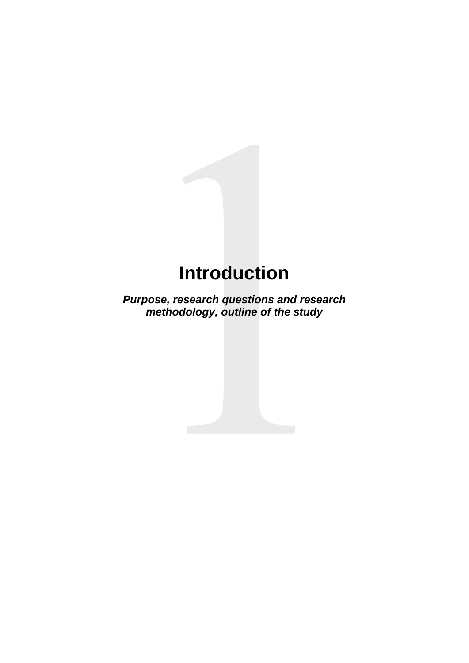# **Introduction**

*Purpose, research questions and research methodology, outline of the study*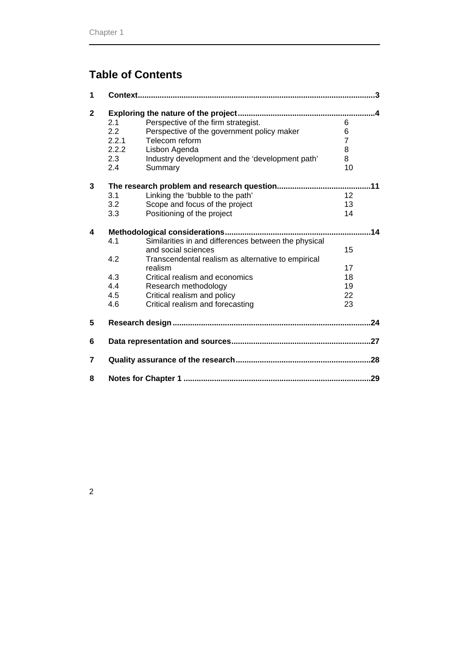# **Table of Contents**

| 1              |       |                                                      |    |  |  |
|----------------|-------|------------------------------------------------------|----|--|--|
| $\overline{2}$ |       |                                                      |    |  |  |
|                | 2.1   | Perspective of the firm strategist.                  | 6  |  |  |
|                | 2.2   | Perspective of the government policy maker           | 6  |  |  |
|                | 2.2.1 | Telecom reform                                       | 7  |  |  |
|                | 2.2.2 | Lisbon Agenda                                        | 8  |  |  |
|                | 2.3   | Industry development and the 'development path'      | 8  |  |  |
|                | 2.4   | Summary                                              | 10 |  |  |
| 3              | 11    |                                                      |    |  |  |
|                | 3.1   | Linking the 'bubble to the path'                     | 12 |  |  |
|                | 3.2   | Scope and focus of the project                       | 13 |  |  |
|                | 3.3   | Positioning of the project                           | 14 |  |  |
| 4              |       |                                                      |    |  |  |
|                | 4.1   | Similarities in and differences between the physical |    |  |  |
|                |       | and social sciences                                  | 15 |  |  |
|                | 4.2   | Transcendental realism as alternative to empirical   |    |  |  |
|                |       | realism                                              | 17 |  |  |
|                | 4.3   | Critical realism and economics                       | 18 |  |  |
|                | 4.4   | Research methodology                                 | 19 |  |  |
|                | 4.5   | Critical realism and policy                          | 22 |  |  |
|                | 4.6   | Critical realism and forecasting                     | 23 |  |  |
| 5              |       |                                                      |    |  |  |
| 6              |       |                                                      |    |  |  |
| 7              |       |                                                      |    |  |  |
| 8              |       | .29                                                  |    |  |  |

2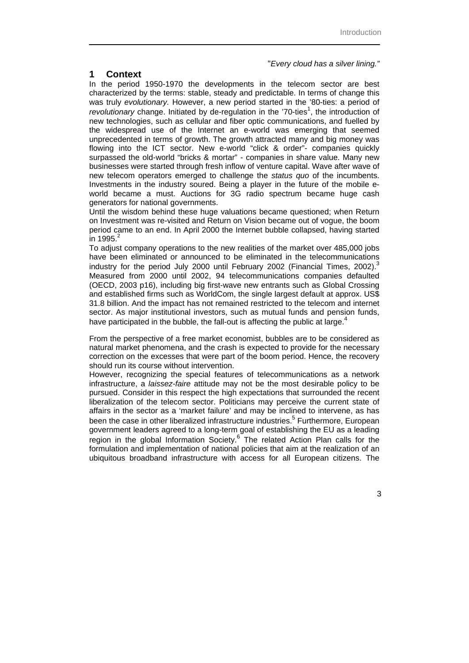#### "*Every cloud has a silver lining."*

## **1 Context**

In the period 1950-1970 the developments in the telecom sector are best characterized by the terms: stable, steady and predictable. In terms of change this was truly *evolutionary.* However, a new period started in the '80-ties: a period of revolutionary change. Initiated by de-regulation in the '70-ties<sup>1</sup>, the introduction of new technologies, such as cellular and fiber optic communications, and fuelled by the widespread use of the Internet an e-world was emerging that seemed unprecedented in terms of growth. The growth attracted many and big money was flowing into the ICT sector. New e-world "click & order"- companies quickly surpassed the old-world "bricks & mortar" - companies in share value. Many new businesses were started through fresh inflow of venture capital. Wave after wave of new telecom operators emerged to challenge the *status quo* of the incumbents. Investments in the industry soured. Being a player in the future of the mobile eworld became a must. Auctions for 3G radio spectrum became huge cash generators for national governments.

Until the wisdom behind these huge valuations became questioned; when Return on Investment was re-visited and Return on Vision became out of vogue, the boom period came to an end. In April 2000 the Internet bubble collapsed, having started in  $1995.<sup>2</sup>$ 

To adjust company operations to the new realities of the market over 485,000 jobs have been eliminated or announced to be eliminated in the telecommunications industry for the period July 2000 until February 2002 (Financial Times, 2002).<sup>3</sup> Measured from 2000 until 2002, 94 telecommunications companies defaulted (OECD, 2003 p16), including big first-wave new entrants such as Global Crossing and established firms such as WorldCom, the single largest default at approx. US\$ 31.8 billion. And the impact has not remained restricted to the telecom and internet sector. As major institutional investors, such as mutual funds and pension funds, have participated in the bubble, the fall-out is affecting the public at large.<sup>4</sup>

From the perspective of a free market economist, bubbles are to be considered as natural market phenomena, and the crash is expected to provide for the necessary correction on the excesses that were part of the boom period. Hence, the recovery should run its course without intervention.

However, recognizing the special features of telecommunications as a network infrastructure, a *laissez-faire* attitude may not be the most desirable policy to be pursued. Consider in this respect the high expectations that surrounded the recent liberalization of the telecom sector. Politicians may perceive the current state of affairs in the sector as a 'market failure' and may be inclined to intervene, as has been the case in other liberalized infrastructure industries.<sup>5</sup> Furthermore, European government leaders agreed to a long-term goal of establishing the EU as a leading region in the global Information Society.<sup>6</sup> The related Action Plan calls for the formulation and implementation of national policies that aim at the realization of an ubiquitous broadband infrastructure with access for all European citizens. The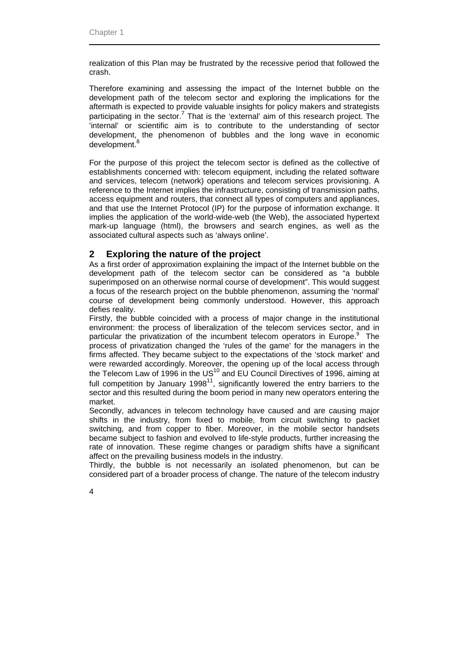realization of this Plan may be frustrated by the recessive period that followed the crash.

Therefore examining and assessing the impact of the Internet bubble on the development path of the telecom sector and exploring the implications for the aftermath is expected to provide valuable insights for policy makers and strategists participating in the sector.<sup>7</sup> That is the 'external' aim of this research project. The 'internal' or scientific aim is to contribute to the understanding of sector development, the phenomenon of bubbles and the long wave in economic development.<sup>8</sup>

For the purpose of this project the telecom sector is defined as the collective of establishments concerned with: telecom equipment, including the related software and services, telecom (network) operations and telecom services provisioning. A reference to the Internet implies the infrastructure, consisting of transmission paths, access equipment and routers, that connect all types of computers and appliances, and that use the Internet Protocol (IP) for the purpose of information exchange. It implies the application of the world-wide-web (the Web), the associated hypertext mark-up language (html), the browsers and search engines, as well as the associated cultural aspects such as 'always online'.

## **2 Exploring the nature of the project**

As a first order of approximation explaining the impact of the Internet bubble on the development path of the telecom sector can be considered as "a bubble superimposed on an otherwise normal course of development". This would suggest a focus of the research project on the bubble phenomenon, assuming the 'normal' course of development being commonly understood. However, this approach defies reality.

Firstly, the bubble coincided with a process of major change in the institutional environment: the process of liberalization of the telecom services sector, and in particular the privatization of the incumbent telecom operators in Europe.<sup>9</sup> The process of privatization changed the 'rules of the game' for the managers in the firms affected. They became subject to the expectations of the 'stock market' and were rewarded accordingly. Moreover, the opening up of the local access through the Telecom Law of 1996 in the US $^{10}$  and EU Council Directives of 1996, aiming at full competition by January 1998<sup>11</sup>, significantly lowered the entry barriers to the sector and this resulted during the boom period in many new operators entering the market.

Secondly, advances in telecom technology have caused and are causing major shifts in the industry, from fixed to mobile, from circuit switching to packet switching, and from copper to fiber. Moreover, in the mobile sector handsets became subject to fashion and evolved to life-style products, further increasing the rate of innovation. These regime changes or paradigm shifts have a significant affect on the prevailing business models in the industry.

Thirdly, the bubble is not necessarily an isolated phenomenon, but can be considered part of a broader process of change. The nature of the telecom industry